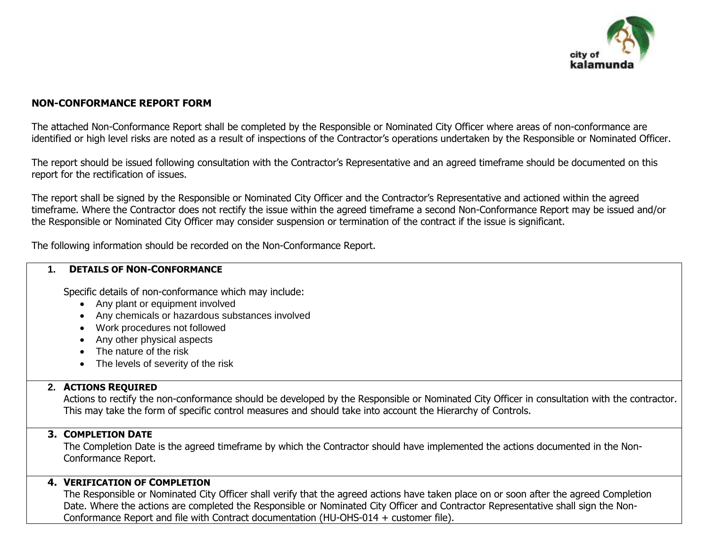

# **NON-CONFORMANCE REPORT FORM**

The attached Non-Conformance Report shall be completed by the Responsible or Nominated City Officer where areas of non-conformance are identified or high level risks are noted as a result of inspections of the Contractor's operations undertaken by the Responsible or Nominated Officer.

The report should be issued following consultation with the Contractor's Representative and an agreed timeframe should be documented on this report for the rectification of issues.

The report shall be signed by the Responsible or Nominated City Officer and the Contractor's Representative and actioned within the agreed timeframe. Where the Contractor does not rectify the issue within the agreed timeframe a second Non-Conformance Report may be issued and/or the Responsible or Nominated City Officer may consider suspension or termination of the contract if the issue is significant.

The following information should be recorded on the Non-Conformance Report.

#### **1. DETAILS OF NON-CONFORMANCE**

Specific details of non-conformance which may include:

- Any plant or equipment involved
- Any chemicals or hazardous substances involved
- Work procedures not followed
- Any other physical aspects
- The nature of the risk
- The levels of severity of the risk

# **2. ACTIONS REQUIRED**

Actions to rectify the non-conformance should be developed by the Responsible or Nominated City Officer in consultation with the contractor. This may take the form of specific control measures and should take into account the Hierarchy of Controls.

### **3. COMPLETION DATE**

The Completion Date is the agreed timeframe by which the Contractor should have implemented the actions documented in the Non-Conformance Report.

# **4. VERIFICATION OF COMPLETION**

The Responsible or Nominated City Officer shall verify that the agreed actions have taken place on or soon after the agreed Completion Date. Where the actions are completed the Responsible or Nominated City Officer and Contractor Representative shall sign the Non-Conformance Report and file with Contract documentation (HU-OHS-014 + customer file).